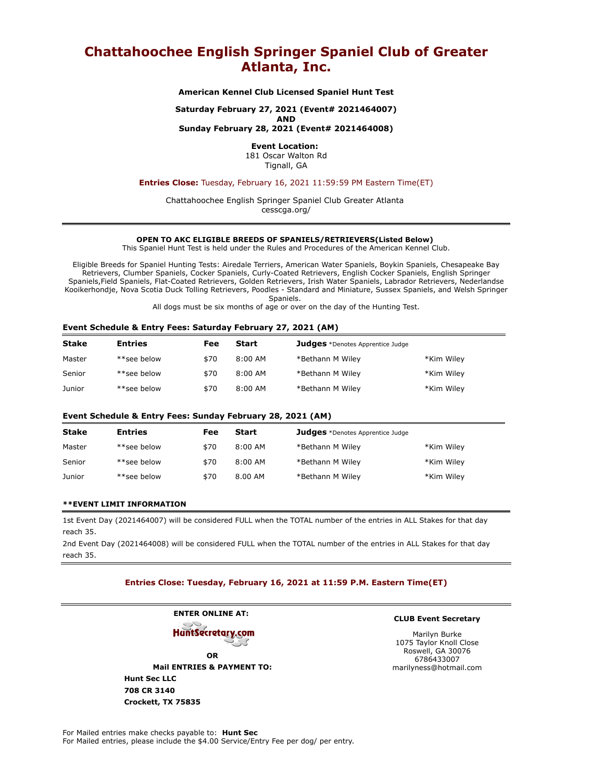# **Chattahoochee English Springer Spaniel Club of Greater Atlanta, Inc.**

**American Kennel Club Licensed Spaniel Hunt Test**

**Saturday February 27, 2021 (Event# 2021464007) AND Sunday February 28, 2021 (Event# 2021464008)**

### **Event Location:**

181 Oscar Walton Rd Tignall, GA

### **Entries Close:** Tuesday, February 16, 2021 11:59:59 PM Eastern Time(ET)

Chattahoochee English Springer Spaniel Club Greater Atlanta cesscga.org/

### **OPEN TO AKC ELIGIBLE BREEDS OF SPANIELS/RETRIEVERS(Listed Below)**

This Spaniel Hunt Test is held under the Rules and Procedures of the American Kennel Club.

Eligible Breeds for Spaniel Hunting Tests: Airedale Terriers, American Water Spaniels, Boykin Spaniels, Chesapeake Bay Retrievers, Clumber Spaniels, Cocker Spaniels, Curly-Coated Retrievers, English Cocker Spaniels, English Springer Spaniels,Field Spaniels, Flat-Coated Retrievers, Golden Retrievers, Irish Water Spaniels, Labrador Retrievers, Nederlandse Kooikerhondje, Nova Scotia Duck Tolling Retrievers, Poodles - Standard and Miniature, Sussex Spaniels, and Welsh Springer Spaniels.

All dogs must be six months of age or over on the day of the Hunting Test.

### **Event Schedule & Entry Fees: Saturday February 27, 2021 (AM)**

| <b>Stake</b> | <b>Entries</b> | Fee  | <b>Start</b>        | <b>Judges</b> *Denotes Apprentice Judge |            |
|--------------|----------------|------|---------------------|-----------------------------------------|------------|
| Master       | **see below    | \$70 | $8:00 \, \text{AM}$ | *Bethann M Wiley                        | *Kim Wiley |
| Senior       | **see below    | \$70 | $8:00$ AM           | *Bethann M Wiley                        | *Kim Wiley |
| Junior       | **see below    | \$70 | $8:00$ AM           | *Bethann M Wiley                        | *Kim Wiley |

### **Event Schedule & Entry Fees: Sunday February 28, 2021 (AM)**

| Stake  | <b>Entries</b> | Fee  | Start     | <b>Judges</b> *Denotes Apprentice Judge |            |
|--------|----------------|------|-----------|-----------------------------------------|------------|
| Master | **see below    | \$70 | $8:00$ AM | *Bethann M Wiley                        | *Kim Wiley |
| Senior | **see below    | \$70 | $8:00$ AM | *Bethann M Wiley                        | *Kim Wiley |
| Junior | **see below    | \$70 | 8.00 AM   | *Bethann M Wiley                        | *Kim Wiley |

### **\*\*EVENT LIMIT INFORMATION**

1st Event Day (2021464007) will be considered FULL when the TOTAL number of the entries in ALL Stakes for that day reach 35.

2nd Event Day (2021464008) will be considered FULL when the TOTAL number of the entries in ALL Stakes for that day reach 35.

### **Entries Close: Tuesday, February 16, 2021 at 11:59 P.M. Eastern Time(ET)**



**OR Mail ENTRIES & PAYMENT TO: Hunt Sec LLC 708 CR 3140 Crockett, TX 75835**

**CLUB Event Secretary**

Marilyn Burke 1075 Taylor Knoll Close Roswell, GA 30076 6786433007 marilyness@hotmail.com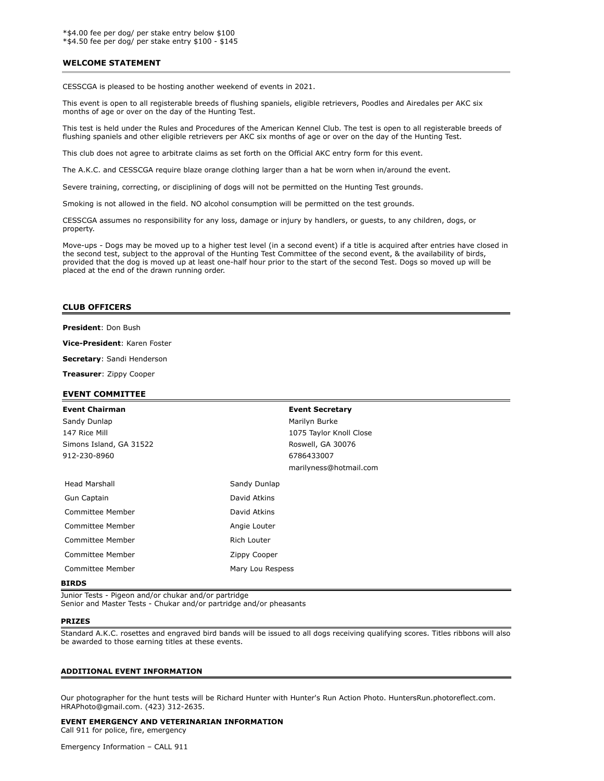### **WELCOME STATEMENT**

CESSCGA is pleased to be hosting another weekend of events in 2021.

This event is open to all registerable breeds of flushing spaniels, eligible retrievers, Poodles and Airedales per AKC six months of age or over on the day of the Hunting Test.

This test is held under the Rules and Procedures of the American Kennel Club. The test is open to all registerable breeds of flushing spaniels and other eligible retrievers per AKC six months of age or over on the day of the Hunting Test.

This club does not agree to arbitrate claims as set forth on the Official AKC entry form for this event.

The A.K.C. and CESSCGA require blaze orange clothing larger than a hat be worn when in/around the event.

Severe training, correcting, or disciplining of dogs will not be permitted on the Hunting Test grounds.

Smoking is not allowed in the field. NO alcohol consumption will be permitted on the test grounds.

CESSCGA assumes no responsibility for any loss, damage or injury by handlers, or guests, to any children, dogs, or property.

Move-ups - Dogs may be moved up to a higher test level (in a second event) if a title is acquired after entries have closed in the second test, subject to the approval of the Hunting Test Committee of the second event, & the availability of birds, provided that the dog is moved up at least one-half hour prior to the start of the second Test. Dogs so moved up will be placed at the end of the drawn running order.

### **CLUB OFFICERS**

**President**: Don Bush

**Vice-President**: Karen Foster

**Secretary**: Sandi Henderson

**Treasurer**: Zippy Cooper

### **EVENT COMMITTEE**

| <b>Event Chairman</b>   | <b>Event Secretary</b>  |  |  |
|-------------------------|-------------------------|--|--|
| Sandy Dunlap            | Marilyn Burke           |  |  |
| 147 Rice Mill           | 1075 Taylor Knoll Close |  |  |
| Simons Island, GA 31522 | Roswell, GA 30076       |  |  |
| 912-230-8960            | 6786433007              |  |  |
|                         | marilyness@hotmail.com  |  |  |
| <b>Head Marshall</b>    | Sandy Dunlap            |  |  |
| Gun Captain             | David Atkins            |  |  |
| Committee Member        | David Atkins            |  |  |
| Committee Member        | Angie Louter            |  |  |
| Committee Member        | Rich Louter             |  |  |
| Committee Member        | Zippy Cooper            |  |  |
| Committee Member        | Mary Lou Respess        |  |  |
|                         |                         |  |  |

### **BIRDS**

Junior Tests - Pigeon and/or chukar and/or partridge Senior and Master Tests - Chukar and/or partridge and/or pheasants

#### **PRIZES**

Standard A.K.C. rosettes and engraved bird bands will be issued to all dogs receiving qualifying scores. Titles ribbons will also be awarded to those earning titles at these events.

### **ADDITIONAL EVENT INFORMATION**

Our photographer for the hunt tests will be Richard Hunter with Hunter's Run Action Photo. HuntersRun.photoreflect.com. HRAPhoto@gmail.com. (423) 312-2635.

### **EVENT EMERGENCY AND VETERINARIAN INFORMATION**

Call 911 for police, fire, emergency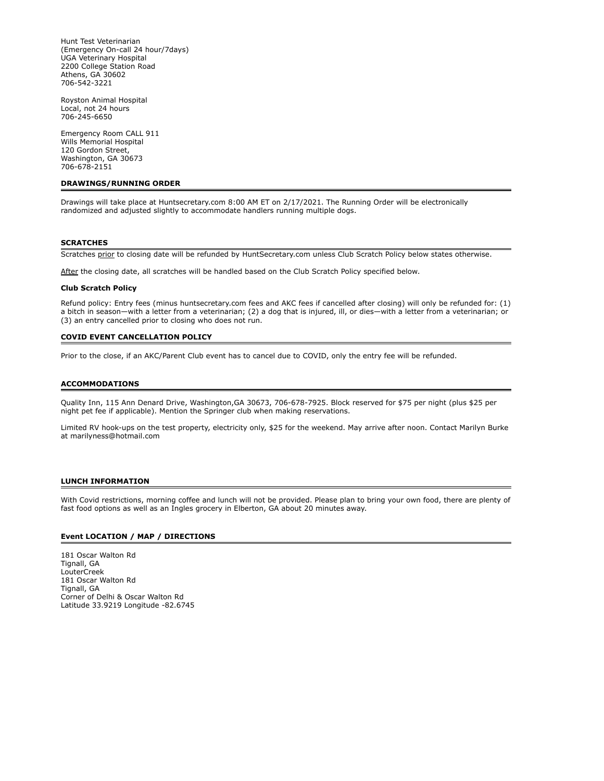Hunt Test Veterinarian (Emergency On-call 24 hour/7days) UGA Veterinary Hospital 2200 College Station Road Athens, GA 30602 706-542-3221

Royston Animal Hospital Local, not 24 hours 706-245-6650

Emergency Room CALL 911 Wills Memorial Hospital 120 Gordon Street, Washington, GA 30673 706-678-2151

### **DRAWINGS/RUNNING ORDER**

Drawings will take place at Huntsecretary.com 8:00 AM ET on 2/17/2021. The Running Order will be electronically randomized and adjusted slightly to accommodate handlers running multiple dogs.

### **SCRATCHES**

Scratches prior to closing date will be refunded by HuntSecretary.com unless Club Scratch Policy below states otherwise.

After the closing date, all scratches will be handled based on the Club Scratch Policy specified below.

### **Club Scratch Policy**

Refund policy: Entry fees (minus huntsecretary.com fees and AKC fees if cancelled after closing) will only be refunded for: (1) a bitch in season—with a letter from a veterinarian; (2) a dog that is injured, ill, or dies—with a letter from a veterinarian; or (3) an entry cancelled prior to closing who does not run.

### **COVID EVENT CANCELLATION POLICY**

Prior to the close, if an AKC/Parent Club event has to cancel due to COVID, only the entry fee will be refunded.

### **ACCOMMODATIONS**

Quality Inn, 115 Ann Denard Drive, Washington,GA 30673, 706-678-7925. Block reserved for \$75 per night (plus \$25 per night pet fee if applicable). Mention the Springer club when making reservations.

Limited RV hook-ups on the test property, electricity only, \$25 for the weekend. May arrive after noon. Contact Marilyn Burke at marilyness@hotmail.com

### **LUNCH INFORMATION**

With Covid restrictions, morning coffee and lunch will not be provided. Please plan to bring your own food, there are plenty of fast food options as well as an Ingles grocery in Elberton, GA about 20 minutes away.

### **Event LOCATION / MAP / DIRECTIONS**

181 Oscar Walton Rd Tignall, GA LouterCreek 181 Oscar Walton Rd Tignall, GA Corner of Delhi & Oscar Walton Rd Latitude 33.9219 Longitude -82.6745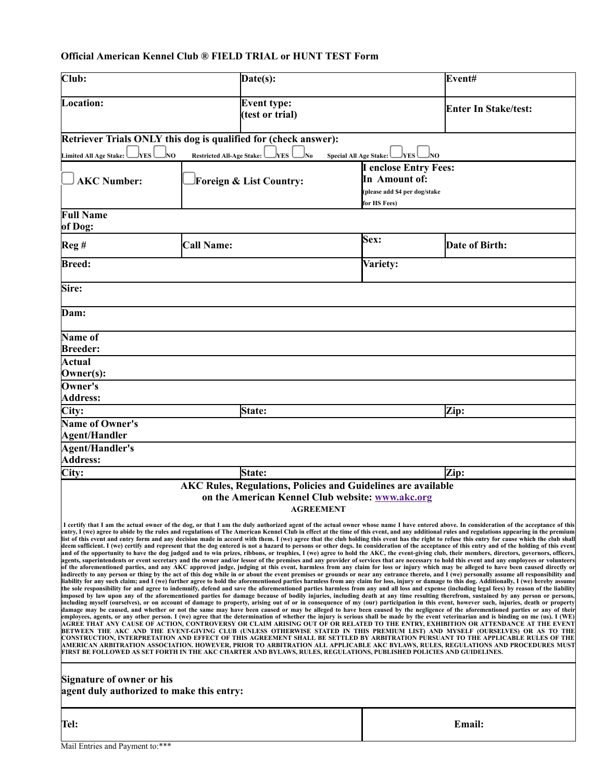## **Official American Kennel Club ® FIELD TRIAL or HUNT TEST Form**

| Club:                                                                                                                                                                                                                                                                                                                                                                                                                                                                                                                                                                                                                                                                                                                                                                                                                                                                                                                                                                                                                                                                                                                                                                                                                                                                                                                                                                                                                                                                                                                                                                                                                                                                                                                                                                                                                                                                                                                                                                                                                                                                                                                                                                                                                                                                                                                                                                                                                                                                                                                                                                                                                                                                                                                                                                                                                                                                                                                                                                                                                                                                                                                                                                                                                                                                                                                                                                                                                                                                            |                                  | $\mathbf{Date}(s)$ :                                                 |                              | Event#                      |  |  |  |
|----------------------------------------------------------------------------------------------------------------------------------------------------------------------------------------------------------------------------------------------------------------------------------------------------------------------------------------------------------------------------------------------------------------------------------------------------------------------------------------------------------------------------------------------------------------------------------------------------------------------------------------------------------------------------------------------------------------------------------------------------------------------------------------------------------------------------------------------------------------------------------------------------------------------------------------------------------------------------------------------------------------------------------------------------------------------------------------------------------------------------------------------------------------------------------------------------------------------------------------------------------------------------------------------------------------------------------------------------------------------------------------------------------------------------------------------------------------------------------------------------------------------------------------------------------------------------------------------------------------------------------------------------------------------------------------------------------------------------------------------------------------------------------------------------------------------------------------------------------------------------------------------------------------------------------------------------------------------------------------------------------------------------------------------------------------------------------------------------------------------------------------------------------------------------------------------------------------------------------------------------------------------------------------------------------------------------------------------------------------------------------------------------------------------------------------------------------------------------------------------------------------------------------------------------------------------------------------------------------------------------------------------------------------------------------------------------------------------------------------------------------------------------------------------------------------------------------------------------------------------------------------------------------------------------------------------------------------------------------------------------------------------------------------------------------------------------------------------------------------------------------------------------------------------------------------------------------------------------------------------------------------------------------------------------------------------------------------------------------------------------------------------------------------------------------------------------------------------------------|----------------------------------|----------------------------------------------------------------------|------------------------------|-----------------------------|--|--|--|
| Location:                                                                                                                                                                                                                                                                                                                                                                                                                                                                                                                                                                                                                                                                                                                                                                                                                                                                                                                                                                                                                                                                                                                                                                                                                                                                                                                                                                                                                                                                                                                                                                                                                                                                                                                                                                                                                                                                                                                                                                                                                                                                                                                                                                                                                                                                                                                                                                                                                                                                                                                                                                                                                                                                                                                                                                                                                                                                                                                                                                                                                                                                                                                                                                                                                                                                                                                                                                                                                                                                        |                                  | Event type:<br>(test or trial)                                       |                              | <b>Enter In Stake/test:</b> |  |  |  |
| Retriever Trials ONLY this dog is qualified for (check answer):                                                                                                                                                                                                                                                                                                                                                                                                                                                                                                                                                                                                                                                                                                                                                                                                                                                                                                                                                                                                                                                                                                                                                                                                                                                                                                                                                                                                                                                                                                                                                                                                                                                                                                                                                                                                                                                                                                                                                                                                                                                                                                                                                                                                                                                                                                                                                                                                                                                                                                                                                                                                                                                                                                                                                                                                                                                                                                                                                                                                                                                                                                                                                                                                                                                                                                                                                                                                                  |                                  |                                                                      |                              |                             |  |  |  |
| YES<br>lno<br>Limited All Age Stake:                                                                                                                                                                                                                                                                                                                                                                                                                                                                                                                                                                                                                                                                                                                                                                                                                                                                                                                                                                                                                                                                                                                                                                                                                                                                                                                                                                                                                                                                                                                                                                                                                                                                                                                                                                                                                                                                                                                                                                                                                                                                                                                                                                                                                                                                                                                                                                                                                                                                                                                                                                                                                                                                                                                                                                                                                                                                                                                                                                                                                                                                                                                                                                                                                                                                                                                                                                                                                                             | <b>Restricted All-Age Stake:</b> | <b>YES</b><br>lNo<br><b>Special All Age Stake:</b>                   |                              |                             |  |  |  |
|                                                                                                                                                                                                                                                                                                                                                                                                                                                                                                                                                                                                                                                                                                                                                                                                                                                                                                                                                                                                                                                                                                                                                                                                                                                                                                                                                                                                                                                                                                                                                                                                                                                                                                                                                                                                                                                                                                                                                                                                                                                                                                                                                                                                                                                                                                                                                                                                                                                                                                                                                                                                                                                                                                                                                                                                                                                                                                                                                                                                                                                                                                                                                                                                                                                                                                                                                                                                                                                                                  |                                  |                                                                      | <b>I</b> enclose Entry Fees: |                             |  |  |  |
| <b>AKC Number:</b>                                                                                                                                                                                                                                                                                                                                                                                                                                                                                                                                                                                                                                                                                                                                                                                                                                                                                                                                                                                                                                                                                                                                                                                                                                                                                                                                                                                                                                                                                                                                                                                                                                                                                                                                                                                                                                                                                                                                                                                                                                                                                                                                                                                                                                                                                                                                                                                                                                                                                                                                                                                                                                                                                                                                                                                                                                                                                                                                                                                                                                                                                                                                                                                                                                                                                                                                                                                                                                                               |                                  | Foreign & List Country:                                              | In Amount of:                |                             |  |  |  |
|                                                                                                                                                                                                                                                                                                                                                                                                                                                                                                                                                                                                                                                                                                                                                                                                                                                                                                                                                                                                                                                                                                                                                                                                                                                                                                                                                                                                                                                                                                                                                                                                                                                                                                                                                                                                                                                                                                                                                                                                                                                                                                                                                                                                                                                                                                                                                                                                                                                                                                                                                                                                                                                                                                                                                                                                                                                                                                                                                                                                                                                                                                                                                                                                                                                                                                                                                                                                                                                                                  |                                  |                                                                      | please add \$4 per dog/stake |                             |  |  |  |
| <b>Full Name</b>                                                                                                                                                                                                                                                                                                                                                                                                                                                                                                                                                                                                                                                                                                                                                                                                                                                                                                                                                                                                                                                                                                                                                                                                                                                                                                                                                                                                                                                                                                                                                                                                                                                                                                                                                                                                                                                                                                                                                                                                                                                                                                                                                                                                                                                                                                                                                                                                                                                                                                                                                                                                                                                                                                                                                                                                                                                                                                                                                                                                                                                                                                                                                                                                                                                                                                                                                                                                                                                                 |                                  |                                                                      | for HS Fees)                 |                             |  |  |  |
| of Dog:                                                                                                                                                                                                                                                                                                                                                                                                                                                                                                                                                                                                                                                                                                                                                                                                                                                                                                                                                                                                                                                                                                                                                                                                                                                                                                                                                                                                                                                                                                                                                                                                                                                                                                                                                                                                                                                                                                                                                                                                                                                                                                                                                                                                                                                                                                                                                                                                                                                                                                                                                                                                                                                                                                                                                                                                                                                                                                                                                                                                                                                                                                                                                                                                                                                                                                                                                                                                                                                                          |                                  |                                                                      |                              |                             |  |  |  |
|                                                                                                                                                                                                                                                                                                                                                                                                                                                                                                                                                                                                                                                                                                                                                                                                                                                                                                                                                                                                                                                                                                                                                                                                                                                                                                                                                                                                                                                                                                                                                                                                                                                                                                                                                                                                                                                                                                                                                                                                                                                                                                                                                                                                                                                                                                                                                                                                                                                                                                                                                                                                                                                                                                                                                                                                                                                                                                                                                                                                                                                                                                                                                                                                                                                                                                                                                                                                                                                                                  |                                  |                                                                      | Sex:                         |                             |  |  |  |
| Reg#                                                                                                                                                                                                                                                                                                                                                                                                                                                                                                                                                                                                                                                                                                                                                                                                                                                                                                                                                                                                                                                                                                                                                                                                                                                                                                                                                                                                                                                                                                                                                                                                                                                                                                                                                                                                                                                                                                                                                                                                                                                                                                                                                                                                                                                                                                                                                                                                                                                                                                                                                                                                                                                                                                                                                                                                                                                                                                                                                                                                                                                                                                                                                                                                                                                                                                                                                                                                                                                                             | <b>Call Name:</b>                |                                                                      |                              | Date of Birth:              |  |  |  |
| <b>Breed:</b>                                                                                                                                                                                                                                                                                                                                                                                                                                                                                                                                                                                                                                                                                                                                                                                                                                                                                                                                                                                                                                                                                                                                                                                                                                                                                                                                                                                                                                                                                                                                                                                                                                                                                                                                                                                                                                                                                                                                                                                                                                                                                                                                                                                                                                                                                                                                                                                                                                                                                                                                                                                                                                                                                                                                                                                                                                                                                                                                                                                                                                                                                                                                                                                                                                                                                                                                                                                                                                                                    |                                  |                                                                      | <b>Variety:</b>              |                             |  |  |  |
| Sire:                                                                                                                                                                                                                                                                                                                                                                                                                                                                                                                                                                                                                                                                                                                                                                                                                                                                                                                                                                                                                                                                                                                                                                                                                                                                                                                                                                                                                                                                                                                                                                                                                                                                                                                                                                                                                                                                                                                                                                                                                                                                                                                                                                                                                                                                                                                                                                                                                                                                                                                                                                                                                                                                                                                                                                                                                                                                                                                                                                                                                                                                                                                                                                                                                                                                                                                                                                                                                                                                            |                                  |                                                                      |                              |                             |  |  |  |
| Dam:                                                                                                                                                                                                                                                                                                                                                                                                                                                                                                                                                                                                                                                                                                                                                                                                                                                                                                                                                                                                                                                                                                                                                                                                                                                                                                                                                                                                                                                                                                                                                                                                                                                                                                                                                                                                                                                                                                                                                                                                                                                                                                                                                                                                                                                                                                                                                                                                                                                                                                                                                                                                                                                                                                                                                                                                                                                                                                                                                                                                                                                                                                                                                                                                                                                                                                                                                                                                                                                                             |                                  |                                                                      |                              |                             |  |  |  |
| Name of                                                                                                                                                                                                                                                                                                                                                                                                                                                                                                                                                                                                                                                                                                                                                                                                                                                                                                                                                                                                                                                                                                                                                                                                                                                                                                                                                                                                                                                                                                                                                                                                                                                                                                                                                                                                                                                                                                                                                                                                                                                                                                                                                                                                                                                                                                                                                                                                                                                                                                                                                                                                                                                                                                                                                                                                                                                                                                                                                                                                                                                                                                                                                                                                                                                                                                                                                                                                                                                                          |                                  |                                                                      |                              |                             |  |  |  |
| <b>Breeder:</b>                                                                                                                                                                                                                                                                                                                                                                                                                                                                                                                                                                                                                                                                                                                                                                                                                                                                                                                                                                                                                                                                                                                                                                                                                                                                                                                                                                                                                                                                                                                                                                                                                                                                                                                                                                                                                                                                                                                                                                                                                                                                                                                                                                                                                                                                                                                                                                                                                                                                                                                                                                                                                                                                                                                                                                                                                                                                                                                                                                                                                                                                                                                                                                                                                                                                                                                                                                                                                                                                  |                                  |                                                                      |                              |                             |  |  |  |
| Actual                                                                                                                                                                                                                                                                                                                                                                                                                                                                                                                                                                                                                                                                                                                                                                                                                                                                                                                                                                                                                                                                                                                                                                                                                                                                                                                                                                                                                                                                                                                                                                                                                                                                                                                                                                                                                                                                                                                                                                                                                                                                                                                                                                                                                                                                                                                                                                                                                                                                                                                                                                                                                                                                                                                                                                                                                                                                                                                                                                                                                                                                                                                                                                                                                                                                                                                                                                                                                                                                           |                                  |                                                                      |                              |                             |  |  |  |
| $\textbf{Owner}(s)$ :                                                                                                                                                                                                                                                                                                                                                                                                                                                                                                                                                                                                                                                                                                                                                                                                                                                                                                                                                                                                                                                                                                                                                                                                                                                                                                                                                                                                                                                                                                                                                                                                                                                                                                                                                                                                                                                                                                                                                                                                                                                                                                                                                                                                                                                                                                                                                                                                                                                                                                                                                                                                                                                                                                                                                                                                                                                                                                                                                                                                                                                                                                                                                                                                                                                                                                                                                                                                                                                            |                                  |                                                                      |                              |                             |  |  |  |
| Owner's                                                                                                                                                                                                                                                                                                                                                                                                                                                                                                                                                                                                                                                                                                                                                                                                                                                                                                                                                                                                                                                                                                                                                                                                                                                                                                                                                                                                                                                                                                                                                                                                                                                                                                                                                                                                                                                                                                                                                                                                                                                                                                                                                                                                                                                                                                                                                                                                                                                                                                                                                                                                                                                                                                                                                                                                                                                                                                                                                                                                                                                                                                                                                                                                                                                                                                                                                                                                                                                                          |                                  |                                                                      |                              |                             |  |  |  |
| <b>Address:</b>                                                                                                                                                                                                                                                                                                                                                                                                                                                                                                                                                                                                                                                                                                                                                                                                                                                                                                                                                                                                                                                                                                                                                                                                                                                                                                                                                                                                                                                                                                                                                                                                                                                                                                                                                                                                                                                                                                                                                                                                                                                                                                                                                                                                                                                                                                                                                                                                                                                                                                                                                                                                                                                                                                                                                                                                                                                                                                                                                                                                                                                                                                                                                                                                                                                                                                                                                                                                                                                                  |                                  |                                                                      |                              |                             |  |  |  |
| City:                                                                                                                                                                                                                                                                                                                                                                                                                                                                                                                                                                                                                                                                                                                                                                                                                                                                                                                                                                                                                                                                                                                                                                                                                                                                                                                                                                                                                                                                                                                                                                                                                                                                                                                                                                                                                                                                                                                                                                                                                                                                                                                                                                                                                                                                                                                                                                                                                                                                                                                                                                                                                                                                                                                                                                                                                                                                                                                                                                                                                                                                                                                                                                                                                                                                                                                                                                                                                                                                            |                                  | State:                                                               |                              | Zip:                        |  |  |  |
| <b>Name of Owner's</b><br><b>Agent/Handler</b>                                                                                                                                                                                                                                                                                                                                                                                                                                                                                                                                                                                                                                                                                                                                                                                                                                                                                                                                                                                                                                                                                                                                                                                                                                                                                                                                                                                                                                                                                                                                                                                                                                                                                                                                                                                                                                                                                                                                                                                                                                                                                                                                                                                                                                                                                                                                                                                                                                                                                                                                                                                                                                                                                                                                                                                                                                                                                                                                                                                                                                                                                                                                                                                                                                                                                                                                                                                                                                   |                                  |                                                                      |                              |                             |  |  |  |
| Agent/Handler's                                                                                                                                                                                                                                                                                                                                                                                                                                                                                                                                                                                                                                                                                                                                                                                                                                                                                                                                                                                                                                                                                                                                                                                                                                                                                                                                                                                                                                                                                                                                                                                                                                                                                                                                                                                                                                                                                                                                                                                                                                                                                                                                                                                                                                                                                                                                                                                                                                                                                                                                                                                                                                                                                                                                                                                                                                                                                                                                                                                                                                                                                                                                                                                                                                                                                                                                                                                                                                                                  |                                  |                                                                      |                              |                             |  |  |  |
| <b>Address:</b>                                                                                                                                                                                                                                                                                                                                                                                                                                                                                                                                                                                                                                                                                                                                                                                                                                                                                                                                                                                                                                                                                                                                                                                                                                                                                                                                                                                                                                                                                                                                                                                                                                                                                                                                                                                                                                                                                                                                                                                                                                                                                                                                                                                                                                                                                                                                                                                                                                                                                                                                                                                                                                                                                                                                                                                                                                                                                                                                                                                                                                                                                                                                                                                                                                                                                                                                                                                                                                                                  |                                  |                                                                      |                              |                             |  |  |  |
| City:                                                                                                                                                                                                                                                                                                                                                                                                                                                                                                                                                                                                                                                                                                                                                                                                                                                                                                                                                                                                                                                                                                                                                                                                                                                                                                                                                                                                                                                                                                                                                                                                                                                                                                                                                                                                                                                                                                                                                                                                                                                                                                                                                                                                                                                                                                                                                                                                                                                                                                                                                                                                                                                                                                                                                                                                                                                                                                                                                                                                                                                                                                                                                                                                                                                                                                                                                                                                                                                                            |                                  | State:                                                               |                              | Zip:                        |  |  |  |
|                                                                                                                                                                                                                                                                                                                                                                                                                                                                                                                                                                                                                                                                                                                                                                                                                                                                                                                                                                                                                                                                                                                                                                                                                                                                                                                                                                                                                                                                                                                                                                                                                                                                                                                                                                                                                                                                                                                                                                                                                                                                                                                                                                                                                                                                                                                                                                                                                                                                                                                                                                                                                                                                                                                                                                                                                                                                                                                                                                                                                                                                                                                                                                                                                                                                                                                                                                                                                                                                                  |                                  | <b>AKC Rules, Regulations, Policies and Guidelines are available</b> |                              |                             |  |  |  |
|                                                                                                                                                                                                                                                                                                                                                                                                                                                                                                                                                                                                                                                                                                                                                                                                                                                                                                                                                                                                                                                                                                                                                                                                                                                                                                                                                                                                                                                                                                                                                                                                                                                                                                                                                                                                                                                                                                                                                                                                                                                                                                                                                                                                                                                                                                                                                                                                                                                                                                                                                                                                                                                                                                                                                                                                                                                                                                                                                                                                                                                                                                                                                                                                                                                                                                                                                                                                                                                                                  |                                  | on the American Kennel Club website: www.akc.org                     |                              |                             |  |  |  |
|                                                                                                                                                                                                                                                                                                                                                                                                                                                                                                                                                                                                                                                                                                                                                                                                                                                                                                                                                                                                                                                                                                                                                                                                                                                                                                                                                                                                                                                                                                                                                                                                                                                                                                                                                                                                                                                                                                                                                                                                                                                                                                                                                                                                                                                                                                                                                                                                                                                                                                                                                                                                                                                                                                                                                                                                                                                                                                                                                                                                                                                                                                                                                                                                                                                                                                                                                                                                                                                                                  |                                  | <b>AGREEMENT</b>                                                     |                              |                             |  |  |  |
| I certify that I am the actual owner of the dog, or that I am the duly authorized agent of the actual owner whose name I have entered above. In consideration of the acceptance of this<br>entry, I (we) agree to abide by the rules and regulations of The American Kennel Club in effect at the time of this event, and any additional rules and regulations appearing in the premium<br>list of this event and entry form and any decision made in accord with them. I (we) agree that the club holding this event has the right to refuse this entry for cause which the club shall<br>deem sufficient. I (we) certify and represent that the dog entered is not a hazard to persons or other dogs. In consideration of the acceptance of this entry and of the holding of this event<br>and of the opportunity to have the dog judged and to win prizes, ribbons, or trophies, I (we) agree to hold the AKC, the event-giving club, their members, directors, governors, officers,<br>agents, superintendents or event secretary and the owner and/or lessor of the premises and any provider of services that are necessary to hold this event and any employees or volunteers<br>of the aforementioned parties, and any AKC approved judge, judging at this event, harmless from any claim for loss or injury which may be alleged to have been caused directly or<br>indirectly to any person or thing by the act of this dog while in or about the event premises or grounds or near any entrance thereto, and I (we) personally assume all responsibility and<br>liability for any such claim; and I (we) further agree to hold the aforementioned parties harmless from any claim for loss, injury or damage to this dog. Additionally, I (we) hereby assume<br>the sole responsibility for and agree to indemnify, defend and save the aforementioned parties harmless from any and all loss and expense (including legal fees) by reason of the liability<br>imposed by law upon any of the aforementioned parties for damage because of bodily injuries, including death at any time resulting therefrom, sustained by any person or persons<br>including myself (ourselves), or on account of damage to property, arising out of or in consequence of my (our) participation in this event, however such, injuries, death or property<br>damage may be caused, and whether or not the same may have been caused or may be alleged to have been caused by the negligence of the aforementioned parties or any of their<br>employees, agents, or any other person. I (we) agree that the determination of whether the injury is serious shall be made by the event veterinarian and is binding on me (us). I (WE)<br>AGREE THAT ANY CAUSE OF ACTION, CONTROVERSY OR CLAIM ARISING OUT OF OR RELATED TO THE ENTRY, EXHIBITION OR ATTENDANCE AT THE EVENT<br>BETWEEN THE AKC AND THE EVENT-GIVING CLUB (UNLESS OTHERWISE STATED IN THIS PREMIUM LIST) AND MYSELF (OURSELVES) OR AS TO THE<br>CONSTRUCTION, INTERPRETATION AND EFFECT OF THIS AGREEMENT SHALL BE SETTLED BY ARBITRATION PURSUANT TO THE APPLICABLE RULES OF THE<br>AMERICAN ARBITRATION ASSOCIATION. HOWEVER, PRIOR TO ARBITRATION ALL APPLICABLE AKC BYLAWS, RULES, REGULATIONS AND PROCEDURES MUST<br>FIRST BE FOLLOWED AS SET FORTH IN THE AKC CHARTER AND BYLAWS, RULES, REGULATIONS, PUBLISHED POLICIES AND GUIDELINES.<br>Signature of owner or his<br>agent duly authorized to make this entry: |                                  |                                                                      |                              |                             |  |  |  |
| Tel:                                                                                                                                                                                                                                                                                                                                                                                                                                                                                                                                                                                                                                                                                                                                                                                                                                                                                                                                                                                                                                                                                                                                                                                                                                                                                                                                                                                                                                                                                                                                                                                                                                                                                                                                                                                                                                                                                                                                                                                                                                                                                                                                                                                                                                                                                                                                                                                                                                                                                                                                                                                                                                                                                                                                                                                                                                                                                                                                                                                                                                                                                                                                                                                                                                                                                                                                                                                                                                                                             |                                  |                                                                      |                              | Email:                      |  |  |  |